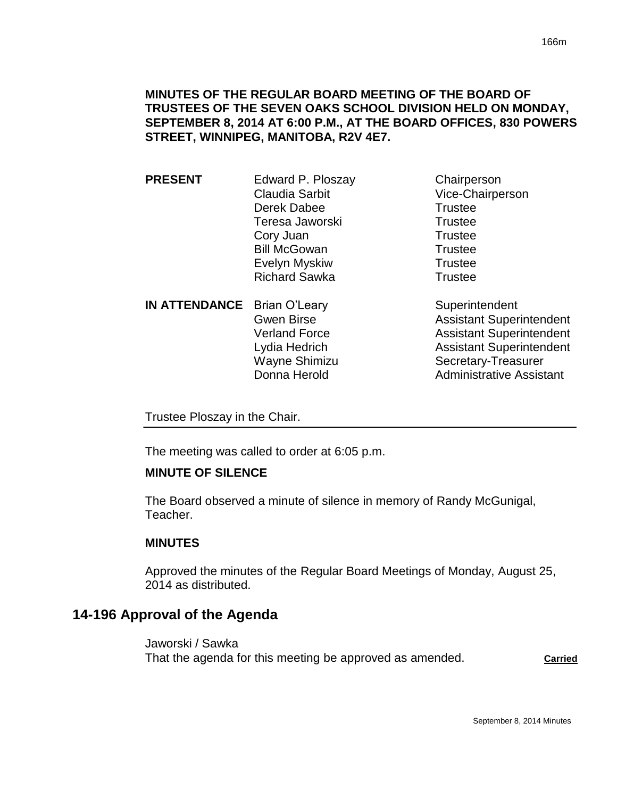## **MINUTES OF THE REGULAR BOARD MEETING OF THE BOARD OF TRUSTEES OF THE SEVEN OAKS SCHOOL DIVISION HELD ON MONDAY, SEPTEMBER 8, 2014 AT 6:00 P.M., AT THE BOARD OFFICES, 830 POWERS STREET, WINNIPEG, MANITOBA, R2V 4E7.**

- **PRESENT** Edward P. Ploszay Chairperson Claudia Sarbit Vice-Chairperson Derek Dabee Trustee Teresa Jaworski **Trustee** Cory Juan Trustee Bill McGowan Trustee Evelyn Myskiw **Trustee** Richard Sawka Trustee
- **IN ATTENDANCE** Brian O'Leary Superintendent
- - Gwen Birse **Assistant Superintendent** Verland Force **Assistant Superintendent** Lydia Hedrich **Assistant Superintendent** Wayne Shimizu Secretary-Treasurer Donna Herold **Administrative Assistant**

Trustee Ploszay in the Chair.

The meeting was called to order at 6:05 p.m.

## **MINUTE OF SILENCE**

The Board observed a minute of silence in memory of Randy McGunigal, Teacher.

## **MINUTES**

Approved the minutes of the Regular Board Meetings of Monday, August 25, 2014 as distributed.

# **14-196 Approval of the Agenda**

Jaworski / Sawka That the agenda for this meeting be approved as amended. **Carried**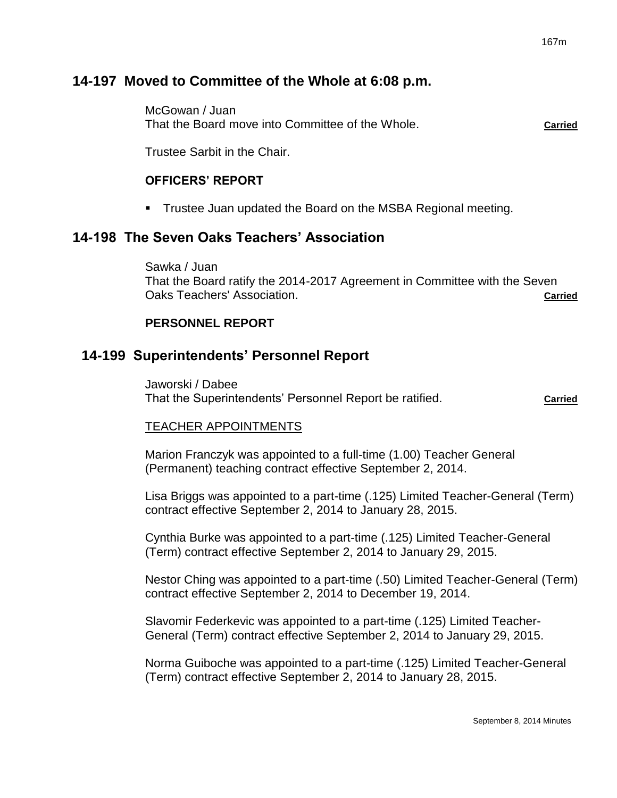# **14-197 Moved to Committee of the Whole at 6:08 p.m.**

McGowan / Juan That the Board move into Committee of the Whole. **Carried**

Trustee Sarbit in the Chair.

## **OFFICERS' REPORT**

**Trustee Juan updated the Board on the MSBA Regional meeting.** 

# **14-198 The Seven Oaks Teachers' Association**

Sawka / Juan That the Board ratify the 2014-2017 Agreement in Committee with the Seven Oaks Teachers' Association. **Carried**

## **PERSONNEL REPORT**

## **14-199 Superintendents' Personnel Report**

Jaworski / Dabee That the Superintendents' Personnel Report be ratified. **Carried** Carried

## TEACHER APPOINTMENTS

Marion Franczyk was appointed to a full-time (1.00) Teacher General (Permanent) teaching contract effective September 2, 2014.

Lisa Briggs was appointed to a part-time (.125) Limited Teacher-General (Term) contract effective September 2, 2014 to January 28, 2015.

Cynthia Burke was appointed to a part-time (.125) Limited Teacher-General (Term) contract effective September 2, 2014 to January 29, 2015.

Nestor Ching was appointed to a part-time (.50) Limited Teacher-General (Term) contract effective September 2, 2014 to December 19, 2014.

Slavomir Federkevic was appointed to a part-time (.125) Limited Teacher-General (Term) contract effective September 2, 2014 to January 29, 2015.

Norma Guiboche was appointed to a part-time (.125) Limited Teacher-General (Term) contract effective September 2, 2014 to January 28, 2015.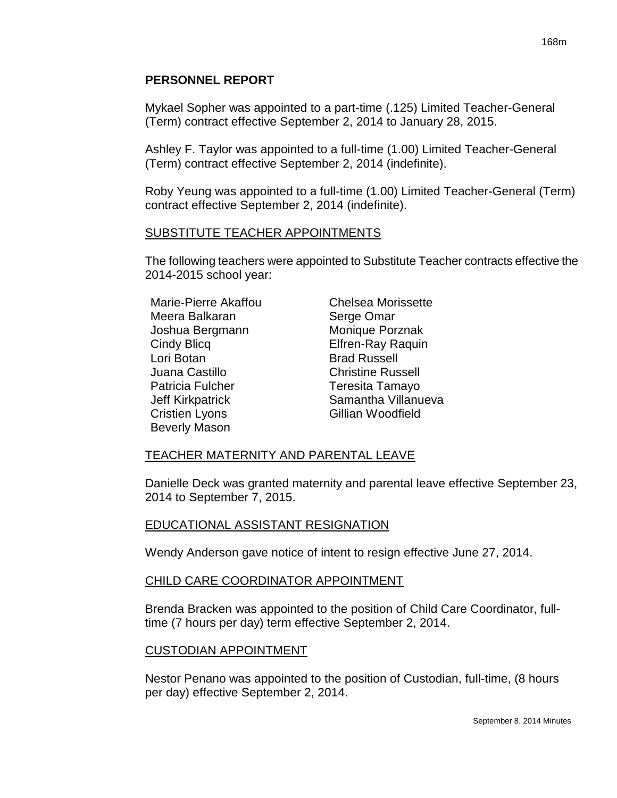### **PERSONNEL REPORT**

Mykael Sopher was appointed to a part-time (.125) Limited Teacher-General (Term) contract effective September 2, 2014 to January 28, 2015.

Ashley F. Taylor was appointed to a full-time (1.00) Limited Teacher-General (Term) contract effective September 2, 2014 (indefinite).

Roby Yeung was appointed to a full-time (1.00) Limited Teacher-General (Term) contract effective September 2, 2014 (indefinite).

#### SUBSTITUTE TEACHER APPOINTMENTS

The following teachers were appointed to Substitute Teacher contracts effective the 2014-2015 school year:

Marie-Pierre Akaffou Chelsea Morissette Meera Balkaran Serge Omar Joshua Bergmann Monique Porznak Cindy Blicq Elfren-Ray Raquin Lori Botan **Brad Russell** Juana Castillo Christine Russell Patricia Fulcher Teresita Tamayo Cristien Lyons Gillian Woodfield Beverly Mason

Jeff Kirkpatrick Samantha Villanueva

## TEACHER MATERNITY AND PARENTAL LEAVE

Danielle Deck was granted maternity and parental leave effective September 23, 2014 to September 7, 2015.

## EDUCATIONAL ASSISTANT RESIGNATION

Wendy Anderson gave notice of intent to resign effective June 27, 2014.

## CHILD CARE COORDINATOR APPOINTMENT

Brenda Bracken was appointed to the position of Child Care Coordinator, fulltime (7 hours per day) term effective September 2, 2014.

#### CUSTODIAN APPOINTMENT

Nestor Penano was appointed to the position of Custodian, full-time, (8 hours per day) effective September 2, 2014.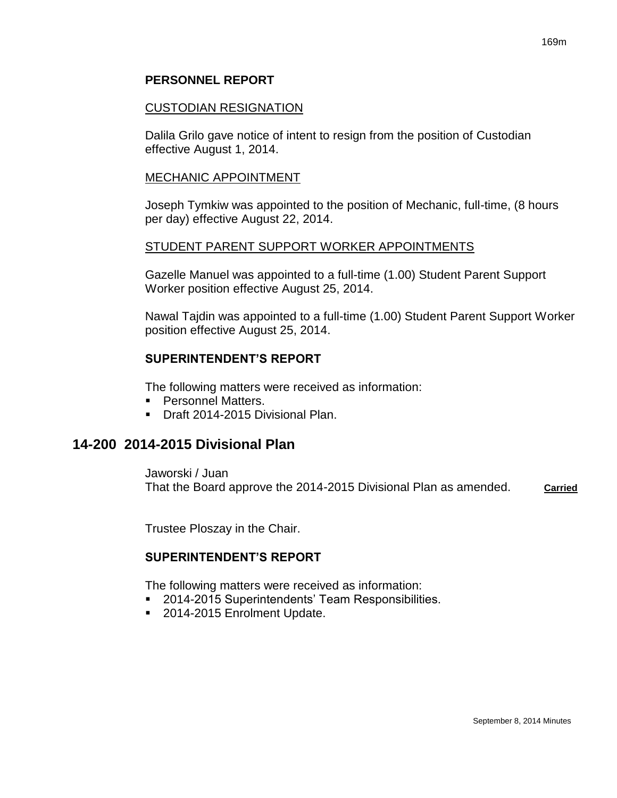### **PERSONNEL REPORT**

#### CUSTODIAN RESIGNATION

Dalila Grilo gave notice of intent to resign from the position of Custodian effective August 1, 2014.

#### MECHANIC APPOINTMENT

Joseph Tymkiw was appointed to the position of Mechanic, full-time, (8 hours per day) effective August 22, 2014.

#### STUDENT PARENT SUPPORT WORKER APPOINTMENTS

Gazelle Manuel was appointed to a full-time (1.00) Student Parent Support Worker position effective August 25, 2014.

Nawal Tajdin was appointed to a full-time (1.00) Student Parent Support Worker position effective August 25, 2014.

#### **SUPERINTENDENT'S REPORT**

The following matters were received as information:

- **Personnel Matters.**
- Draft 2014-2015 Divisional Plan.

## **14-200 2014-2015 Divisional Plan**

Jaworski / Juan That the Board approve the 2014-2015 Divisional Plan as amended. **Carried**

Trustee Ploszay in the Chair.

## **SUPERINTENDENT'S REPORT**

The following matters were received as information:

- 2014-2015 Superintendents' Team Responsibilities.
- 2014-2015 Enrolment Update.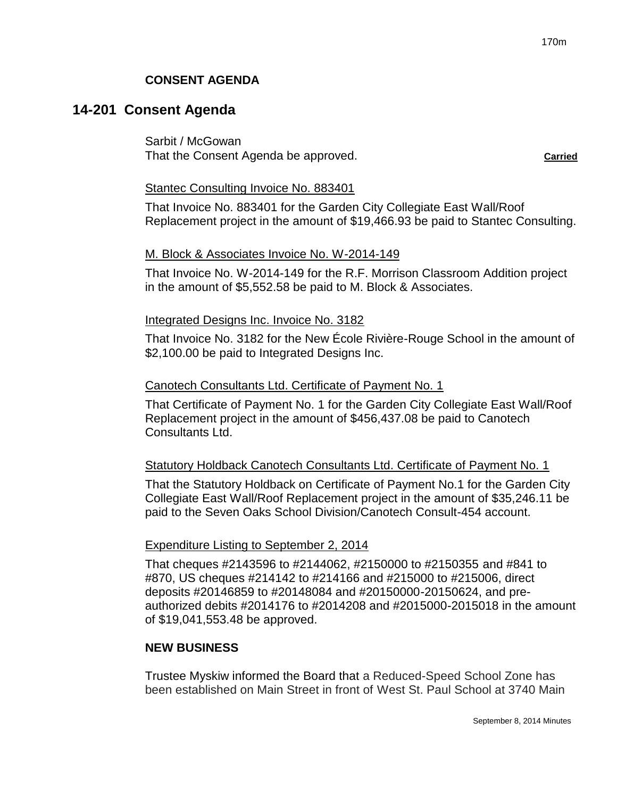## **CONSENT AGENDA**

## **14-201 Consent Agenda**

Sarbit / McGowan That the Consent Agenda be approved. **Carried**

#### Stantec Consulting Invoice No. 883401

That Invoice No. 883401 for the Garden City Collegiate East Wall/Roof Replacement project in the amount of \$19,466.93 be paid to Stantec Consulting.

#### M. Block & Associates Invoice No. W-2014-149

That Invoice No. W-2014-149 for the R.F. Morrison Classroom Addition project in the amount of \$5,552.58 be paid to M. Block & Associates.

#### Integrated Designs Inc. Invoice No. 3182

That Invoice No. 3182 for the New École Rivière-Rouge School in the amount of \$2,100.00 be paid to Integrated Designs Inc.

#### Canotech Consultants Ltd. Certificate of Payment No. 1

That Certificate of Payment No. 1 for the Garden City Collegiate East Wall/Roof Replacement project in the amount of \$456,437.08 be paid to Canotech Consultants Ltd.

## Statutory Holdback Canotech Consultants Ltd. Certificate of Payment No. 1

That the Statutory Holdback on Certificate of Payment No.1 for the Garden City Collegiate East Wall/Roof Replacement project in the amount of \$35,246.11 be paid to the Seven Oaks School Division/Canotech Consult-454 account.

## Expenditure Listing to September 2, 2014

That cheques #2143596 to #2144062, #2150000 to #2150355 and #841 to #870, US cheques #214142 to #214166 and #215000 to #215006, direct deposits #20146859 to #20148084 and #20150000-20150624, and preauthorized debits #2014176 to #2014208 and #2015000-2015018 in the amount of \$19,041,553.48 be approved.

## **NEW BUSINESS**

Trustee Myskiw informed the Board that a Reduced-Speed School Zone has been established on Main Street in front of West St. Paul School at 3740 Main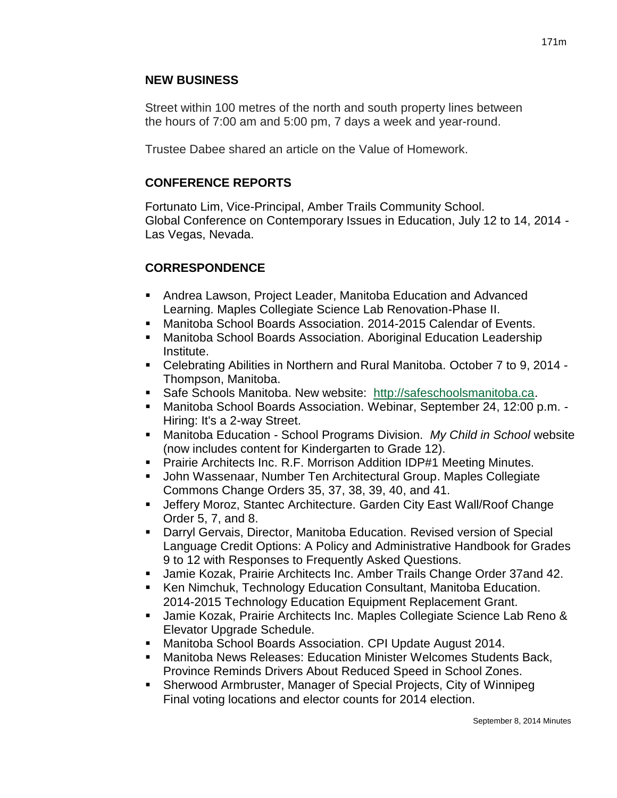## **NEW BUSINESS**

Street within 100 metres of the north and south property lines between the hours of 7:00 am and 5:00 pm, 7 days a week and year-round.

Trustee Dabee shared an article on the Value of Homework.

# **CONFERENCE REPORTS**

Fortunato Lim, Vice-Principal, Amber Trails Community School. Global Conference on Contemporary Issues in Education, July 12 to 14, 2014 - Las Vegas, Nevada.

# **CORRESPONDENCE**

- Andrea Lawson, Project Leader, Manitoba Education and Advanced Learning. Maples Collegiate Science Lab Renovation-Phase II.
- Manitoba School Boards Association. 2014-2015 Calendar of Events.
- Manitoba School Boards Association. Aboriginal Education Leadership Institute.
- Celebrating Abilities in Northern and Rural Manitoba. October 7 to 9, 2014 Thompson, Manitoba.
- Safe Schools Manitoba. New website: [http://safeschoolsmanitoba.ca.](http://safeschoolsmanitoba.ca/)
- Manitoba School Boards Association. Webinar, September 24, 12:00 p.m. Hiring: It's a 2-way Street.
- Manitoba Education School Programs Division. *My Child in School* website (now includes content for Kindergarten to Grade 12).
- **Prairie Architects Inc. R.F. Morrison Addition IDP#1 Meeting Minutes.**
- John Wassenaar, Number Ten Architectural Group. Maples Collegiate Commons Change Orders 35, 37, 38, 39, 40, and 41.
- Jeffery Moroz, Stantec Architecture. Garden City East Wall/Roof Change Order 5, 7, and 8.
- Darryl Gervais, Director, Manitoba Education. Revised version of Special Language Credit Options: A Policy and Administrative Handbook for Grades 9 to 12 with Responses to Frequently Asked Questions.
- Jamie Kozak, Prairie Architects Inc. Amber Trails Change Order 37and 42.
- Ken Nimchuk, Technology Education Consultant, Manitoba Education. 2014-2015 Technology Education Equipment Replacement Grant.
- Jamie Kozak, Prairie Architects Inc. Maples Collegiate Science Lab Reno & Elevator Upgrade Schedule.
- Manitoba School Boards Association. CPI Update August 2014.
- Manitoba News Releases: Education Minister Welcomes Students Back, Province Reminds Drivers About Reduced Speed in School Zones.
- Sherwood Armbruster, Manager of Special Projects, City of Winnipeg Final voting locations and elector counts for 2014 election.